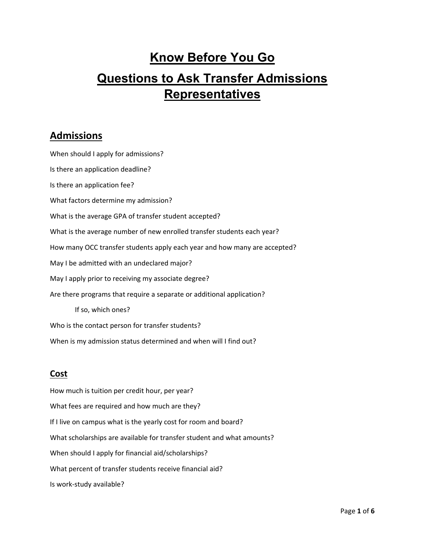# **Know Before You Go Questions to Ask Transfer Admissions Representatives**

## **Admissions**

 Is there an application fee? May I be admitted with an undeclared major? May I apply prior to receiving my associate degree? When should I apply for admissions? Is there an application deadline? What factors determine my admission? What is the average GPA of transfer student accepted? What is the average number of new enrolled transfer students each year? How many OCC transfer students apply each year and how many are accepted? Are there programs that require a separate or additional application? If so, which ones? Who is the contact person for transfer students? When is my admission status determined and when will I find out?

## **Cost**

 What fees are required and how much are they? If I live on campus what is the yearly cost for room and board? How much is tuition per credit hour, per year? What scholarships are available for transfer student and what amounts? When should I apply for financial aid/scholarships? What percent of transfer students receive financial aid? Is work‐study available?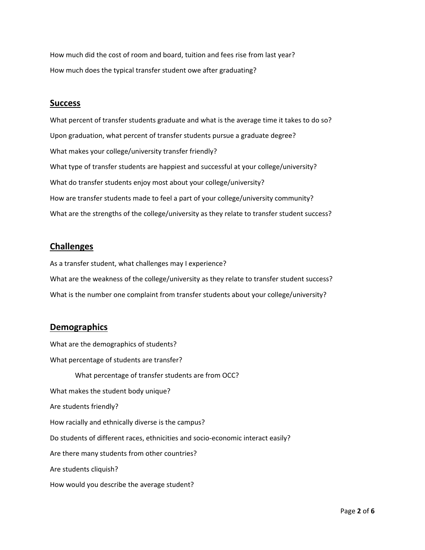How much did the cost of room and board, tuition and fees rise from last year? How much does the typical transfer student owe after graduating?

#### **Success**

What percent of transfer students graduate and what is the average time it takes to do so? Upon graduation, what percent of transfer students pursue a graduate degree? What makes your college/university transfer friendly? What type of transfer students are happiest and successful at your college/university? What do transfer students enjoy most about your college/university? How are transfer students made to feel a part of your college/university community? What are the strengths of the college/university as they relate to transfer student success?

#### **Challenges**

As a transfer student, what challenges may I experience? What are the weakness of the college/university as they relate to transfer student success? What is the number one complaint from transfer students about your college/university?

#### **Demographics**

 What percentage of transfer students are from OCC? Are students cliquish? What are the demographics of students? What percentage of students are transfer? What makes the student body unique? Are students friendly? How racially and ethnically diverse is the campus? Do students of different races, ethnicities and socio‐economic interact easily? Are there many students from other countries? How would you describe the average student?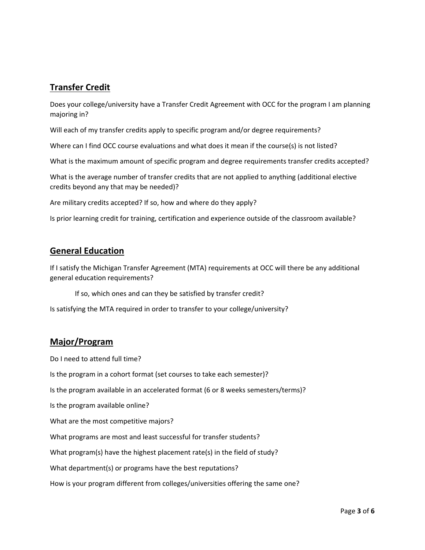## **Transfer Credit**

 majoring in? Does your college/university have a Transfer Credit Agreement with OCC for the program I am planning

Will each of my transfer credits apply to specific program and/or degree requirements?

Where can I find OCC course evaluations and what does it mean if the course(s) is not listed?

What is the maximum amount of specific program and degree requirements transfer credits accepted?

What is the average number of transfer credits that are not applied to anything (additional elective credits beyond any that may be needed)?

Are military credits accepted? If so, how and where do they apply?

Is prior learning credit for training, certification and experience outside of the classroom available?

### **General Education**

If I satisfy the Michigan Transfer Agreement (MTA) requirements at OCC will there be any additional general education requirements?

If so, which ones and can they be satisfied by transfer credit?

Is satisfying the MTA required in order to transfer to your college/university?

#### **Major/Program**

Do I need to attend full time?

Is the program in a cohort format (set courses to take each semester)?

Is the program available in an accelerated format (6 or 8 weeks semesters/terms)?

Is the program available online?

What are the most competitive majors?

What programs are most and least successful for transfer students?

What program(s) have the highest placement rate(s) in the field of study?

What department(s) or programs have the best reputations?

How is your program different from colleges/universities offering the same one?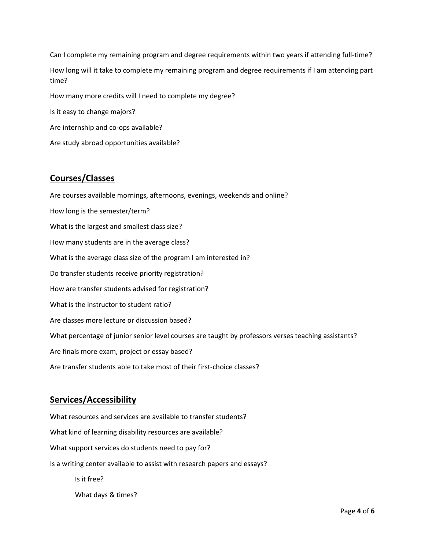time? Can I complete my remaining program and degree requirements within two years if attending full-time? How long will it take to complete my remaining program and degree requirements if I am attending part How many more credits will I need to complete my degree? Is it easy to change majors? Are internship and co-ops available?

Are study abroad opportunities available?

### **Courses/Classes**

 What is the average class size of the program I am interested in? Are courses available mornings, afternoons, evenings, weekends and online? How long is the semester/term? What is the largest and smallest class size? How many students are in the average class? Do transfer students receive priority registration? How are transfer students advised for registration? What is the instructor to student ratio? Are classes more lecture or discussion based? What percentage of junior senior level courses are taught by professors verses teaching assistants? Are finals more exam, project or essay based? Are transfer students able to take most of their first-choice classes?

## **Services/Accessibility**

 What resources and services are available to transfer students? What kind of learning disability resources are available? What support services do students need to pay for? Is a writing center available to assist with research papers and essays? Is it free? What days & times?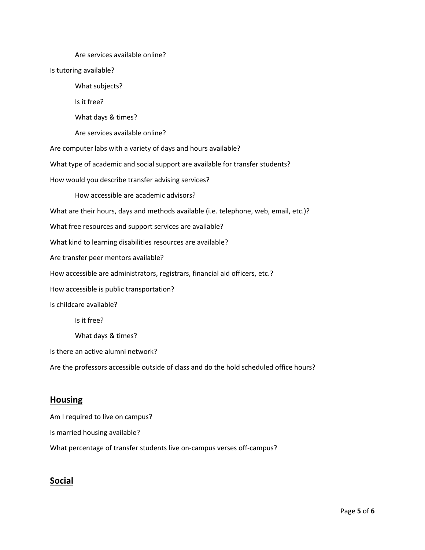How would you describe transfer advising services? How accessible are administrators, registrars, financial aid officers, etc.? Are services available online? Is tutoring available? What subjects? Is it free? What days & times? Are services available online? Are computer labs with a variety of days and hours available? What type of academic and social support are available for transfer students? How accessible are academic advisors? What are their hours, days and methods available (i.e. telephone, web, email, etc.)? What free resources and support services are available? What kind to learning disabilities resources are available? Are transfer peer mentors available? How accessible is public transportation? Is childcare available? Is it free? What days & times? Is there an active alumni network? Are the professors accessible outside of class and do the hold scheduled office hours?

#### **Housing**

 Am I required to live on campus? Is married housing available? What percentage of transfer students live on-campus verses off-campus?

## **Social**